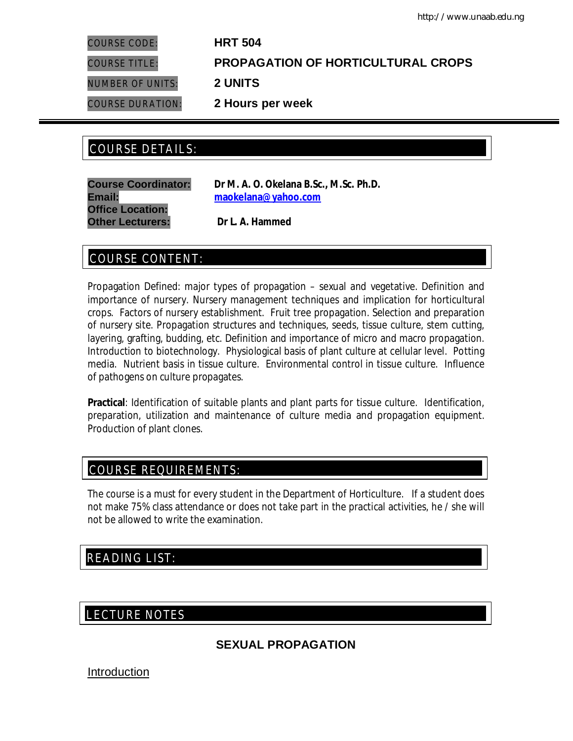COURSE CODE: **HRT 504**

COURSE TITLE: **PROPAGATION OF HORTICULTURAL CROPS**

NUMBER OF UNITS: **2 UNITS**

COURSE DURATION: **2 Hours per week**

# COURSE DETAILS: COURSE DETAILS:

**Office Location: Other Lecturers: Dr L. A. Hammed**

**Course Coordinator: Dr M. A. O. Okelana B.Sc., M.Sc. Ph.D. Email: maokelana@yahoo.com**

# COURSE CONTENT:

Propagation Defined: major types of propagation – sexual and vegetative. Definition and importance of nursery. Nursery management techniques and implication for horticultural crops. Factors of nursery establishment. Fruit tree propagation. Selection and preparation of nursery site. Propagation structures and techniques, seeds, tissue culture, stem cutting, layering, grafting, budding, etc. Definition and importance of micro and macro propagation. Introduction to biotechnology. Physiological basis of plant culture at cellular level. Potting media. Nutrient basis in tissue culture. Environmental control in tissue culture. Influence of pathogens on culture propagates.

**Practical**: Identification of suitable plants and plant parts for tissue culture. Identification, preparation, utilization and maintenance of culture media and propagation equipment. Production of plant clones.

# COURSE REQUIREMENTS:

The course is a must for every student in the Department of Horticulture. If a student does not make 75% class attendance or does not take part in the practical activities, he / she will not be allowed to write the examination.

# READING LIST:

## E LECTURE NOTES

# **SEXUAL PROPAGATION**

Introduction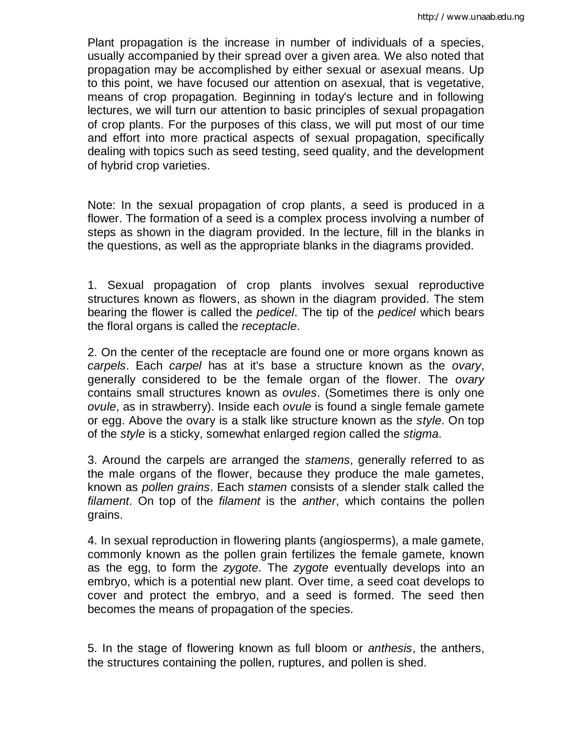Plant propagation is the increase in number of individuals of a species, usually accompanied by their spread over a given area. We also noted that propagation may be accomplished by either sexual or asexual means. Up to this point, we have focused our attention on asexual, that is vegetative, means of crop propagation. Beginning in today's lecture and in following lectures, we will turn our attention to basic principles of sexual propagation of crop plants. For the purposes of this class, we will put most of our time and effort into more practical aspects of sexual propagation, specifically dealing with topics such as seed testing, seed quality, and the development of hybrid crop varieties.

Note: In the sexual propagation of crop plants, a seed is produced in a flower. The formation of a seed is a complex process involving a number of steps as shown in the diagram provided. In the lecture, fill in the blanks in the questions, as well as the appropriate blanks in the diagrams provided.

1. Sexual propagation of crop plants involves sexual reproductive structures known as flowers, as shown in the diagram provided. The stem bearing the flower is called the *pedicel*. The tip of the *pedicel* which bears the floral organs is called the *receptacle*.

2. On the center of the receptacle are found one or more organs known as *carpels*. Each *carpel* has at it's base a structure known as the *ovary*, generally considered to be the female organ of the flower. The *ovary* contains small structures known as *ovules*. (Sometimes there is only one *ovule*, as in strawberry). Inside each *ovule* is found a single female gamete or egg. Above the ovary is a stalk like structure known as the *style*. On top of the *style* is a sticky, somewhat enlarged region called the *stigma*.

3. Around the carpels are arranged the *stamens*, generally referred to as the male organs of the flower, because they produce the male gametes, known as *pollen grains*. Each *stamen* consists of a slender stalk called the *filament*. On top of the *filament* is the *anther*, which contains the pollen grains.

4. In sexual reproduction in flowering plants (angiosperms), a male gamete, commonly known as the pollen grain fertilizes the female gamete, known as the egg, to form the *zygote*. The *zygote* eventually develops into an embryo, which is a potential new plant. Over time, a seed coat develops to cover and protect the embryo, and a seed is formed. The seed then becomes the means of propagation of the species.

5. In the stage of flowering known as full bloom or *anthesis*, the anthers, the structures containing the pollen, ruptures, and pollen is shed.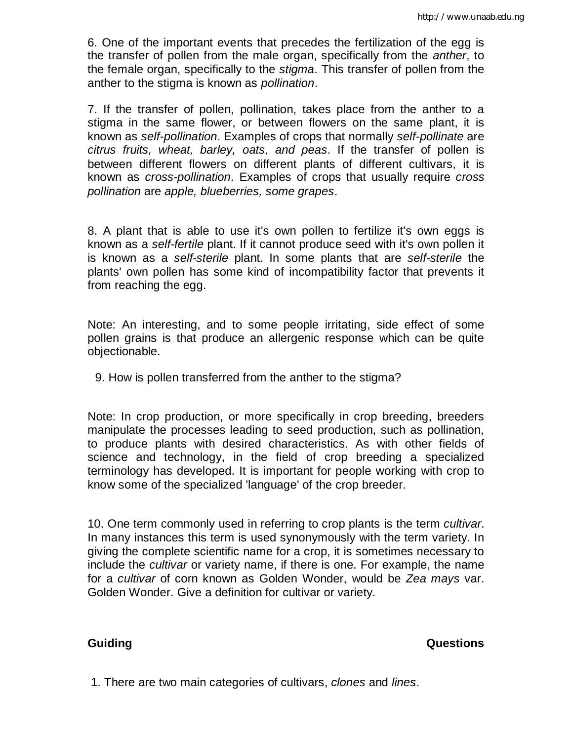6. One of the important events that precedes the fertilization of the egg is the transfer of pollen from the male organ, specifically from the *anther*, to the female organ, specifically to the *stigma*. This transfer of pollen from the anther to the stigma is known as *pollination*.

7. If the transfer of pollen, pollination, takes place from the anther to a stigma in the same flower, or between flowers on the same plant, it is known as *self-pollination*. Examples of crops that normally *self-pollinate* are *citrus fruits, wheat, barley, oats, and peas*. If the transfer of pollen is between different flowers on different plants of different cultivars, it is known as *cross-pollination*. Examples of crops that usually require *cross pollination* are *apple, blueberries, some grapes*.

8. A plant that is able to use it's own pollen to fertilize it's own eggs is known as a *self-fertile* plant. If it cannot produce seed with it's own pollen it is known as a *self-sterile* plant. In some plants that are *self-sterile* the plants' own pollen has some kind of incompatibility factor that prevents it from reaching the egg.

Note: An interesting, and to some people irritating, side effect of some pollen grains is that produce an allergenic response which can be quite objectionable.

9. How is pollen transferred from the anther to the stigma?

Note: In crop production, or more specifically in crop breeding, breeders manipulate the processes leading to seed production, such as pollination, to produce plants with desired characteristics. As with other fields of science and technology, in the field of crop breeding a specialized terminology has developed. It is important for people working with crop to know some of the specialized 'language' of the crop breeder.

10. One term commonly used in referring to crop plants is the term *cultivar*. In many instances this term is used synonymously with the term variety. In giving the complete scientific name for a crop, it is sometimes necessary to include the *cultivar* or variety name, if there is one. For example, the name for a *cultivar* of corn known as Golden Wonder, would be *Zea mays* var. Golden Wonder. Give a definition for cultivar or variety.

**Guiding Community Community Community Community Community Community Community Community Community Community Community Community Community Community Community Community Community Community Community Community Community Com** 

1. There are two main categories of cultivars, *clones* and *lines*.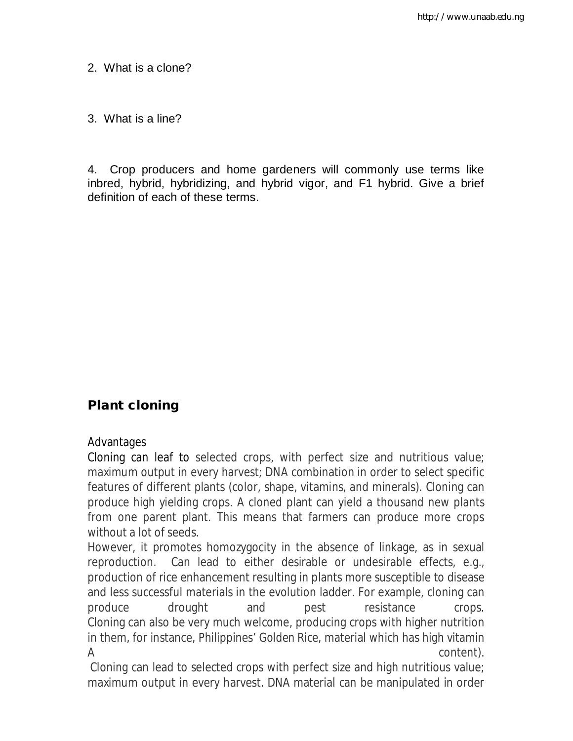2. What is a clone?

3. What is a line?

4. Crop producers and home gardeners will commonly use terms like inbred, hybrid, hybridizing, and hybrid vigor, and F1 hybrid. Give a brief definition of each of these terms.

# **Plant cloning**

# Advantages

Cloning can leaf to selected crops, with perfect size and nutritious value; maximum output in every harvest; DNA combination in order to select specific features of different plants (color, shape, vitamins, and minerals). Cloning can produce high yielding crops. A cloned plant can yield a thousand new plants from one parent plant. This means that farmers can produce more crops without a lot of seeds.

However, it promotes homozygocity in the absence of linkage, as in sexual reproduction. Can lead to either desirable or undesirable effects, e.g., production of rice enhancement resulting in plants more susceptible to disease and less successful materials in the evolution ladder. For example, cloning can produce drought and pest resistance crops. Cloning can also be very much welcome, producing crops with higher nutrition in them, for instance, Philippines' *Golden Rice*, material which has high vitamin  $\mathsf A$  content).

Cloning can lead to selected crops with perfect size and high nutritious value; maximum output in every harvest. DNA material can be manipulated in order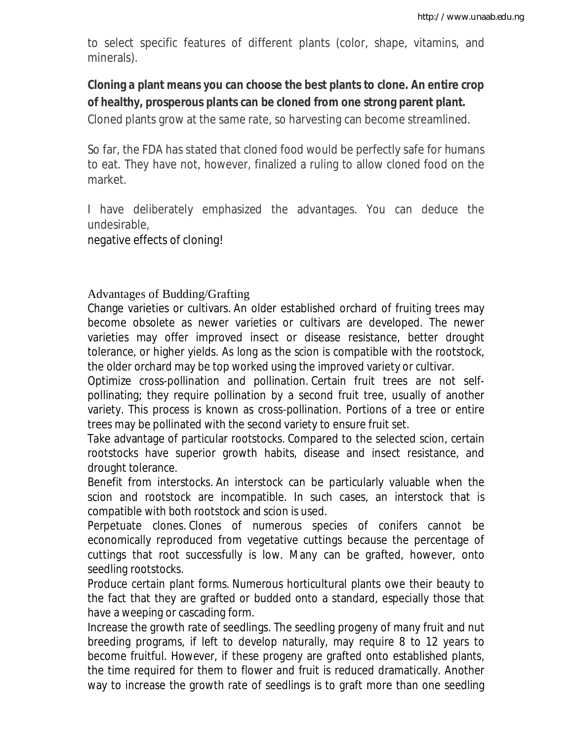to select specific features of different plants (color, shape, vitamins, and minerals).

# **Cloning a plant means you can choose the best plants to clone. An entire crop of healthy, prosperous plants can be cloned from one strong parent plant.**

Cloned plants grow at the same rate, so harvesting can become streamlined.

So far, the FDA has stated that cloned food would be perfectly safe for humans to eat. They have not, however, finalized a ruling to allow cloned food on the market.

I have deliberately emphasized the advantages. You can deduce the undesirable,

negative effects of cloning!

Advantages of Budding/Grafting

Change varieties or cultivars. An older established orchard of fruiting trees may become obsolete as newer varieties or cultivars are developed. The newer varieties may offer improved insect or disease resistance, better drought tolerance, or higher yields. As long as the scion is compatible with the rootstock, the older orchard may be top worked using the improved variety or cultivar.

Optimize cross-pollination and pollination. Certain fruit trees are not selfpollinating; they require pollination by a second fruit tree, usually of another variety. This process is known as cross-pollination. Portions of a tree or entire trees may be pollinated with the second variety to ensure fruit set.

Take advantage of particular rootstocks. Compared to the selected scion, certain rootstocks have superior growth habits, disease and insect resistance, and drought tolerance.

Benefit from interstocks. An interstock can be particularly valuable when the scion and rootstock are incompatible. In such cases, an interstock that is compatible with both rootstock and scion is used.

Perpetuate clones. Clones of numerous species of conifers cannot be economically reproduced from vegetative cuttings because the percentage of cuttings that root successfully is low. Many can be grafted, however, onto seedling rootstocks.

Produce certain plant forms. Numerous horticultural plants owe their beauty to the fact that they are grafted or budded onto a standard, especially those that have a weeping or cascading form.

Increase the growth rate of seedlings. The seedling progeny of many fruit and nut breeding programs, if left to develop naturally, may require 8 to 12 years to become fruitful. However, if these progeny are grafted onto established plants, the time required for them to flower and fruit is reduced dramatically. Another way to increase the growth rate of seedlings is to graft more than one seedling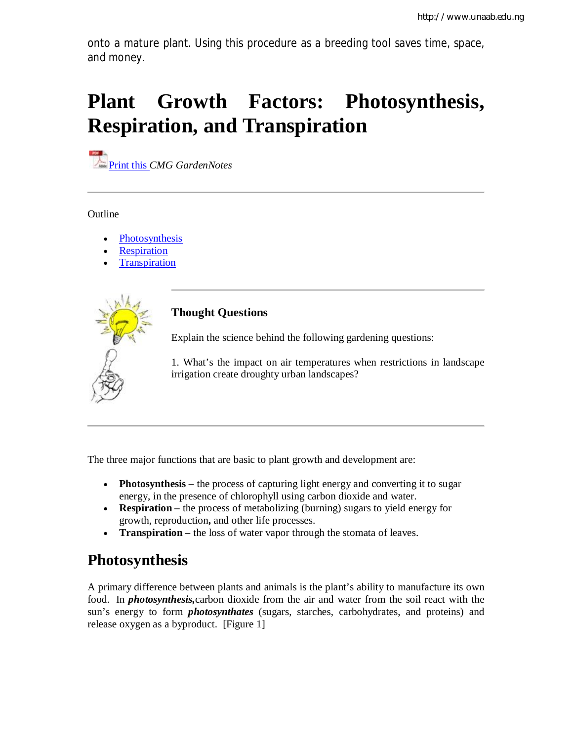onto a mature plant. Using this procedure as a breeding tool saves time, space, and money.

# **Plant Growth Factors: Photosynthesis, Respiration, and Transpiration**

**Print this** *CMG GardenNotes* 

Outline

- Photosynthesis
- **Respiration**
- **Transpiration**



## **Thought Questions**

Explain the science behind the following gardening questions:

1. What's the impact on air temperatures when restrictions in landscape irrigation create droughty urban landscapes?

The three major functions that are basic to plant growth and development are:

- **Photosynthesis** the process of capturing light energy and converting it to sugar energy, in the presence of chlorophyll using carbon dioxide and water.
- **Respiration** the process of metabolizing (burning) sugars to yield energy for growth, reproduction**,** and other life processes.
- **Transpiration –** the loss of water vapor through the stomata of leaves.

# **Photosynthesis**

A primary difference between plants and animals is the plant's ability to manufacture its own food. In *photosynthesis,*carbon dioxide from the air and water from the soil react with the sun's energy to form *photosynthates* (sugars, starches, carbohydrates, and proteins) and release oxygen as a byproduct. [Figure 1]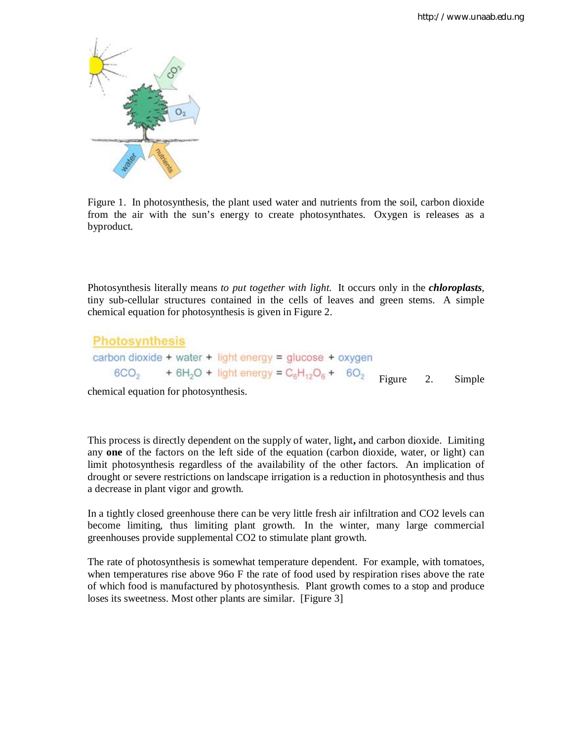

Figure 1. In photosynthesis, the plant used water and nutrients from the soil, carbon dioxide from the air with the sun's energy to create photosynthates. Oxygen is releases as a byproduct.

Photosynthesis literally means *to put together with light.* It occurs only in the *chloroplasts*, tiny sub-cellular structures contained in the cells of leaves and green stems. A simple chemical equation for photosynthesis is given in Figure 2.

| Photosynthesis                                           |                                                    |
|----------------------------------------------------------|----------------------------------------------------|
| carbon dioxide + water + light energy = glucose + oxygen |                                                    |
| $6CO_2$                                                  | + $6H_2O$ + light energy = $C_6H_{12}O_6$ + $6O_2$ |
| Figure 2. Simple                                         |                                                    |

chemical equation for photosynthesis.

This process is directly dependent on the supply of water, light**,** and carbon dioxide. Limiting any **one** of the factors on the left side of the equation (carbon dioxide, water, or light) can limit photosynthesis regardless of the availability of the other factors. An implication of drought or severe restrictions on landscape irrigation is a reduction in photosynthesis and thus a decrease in plant vigor and growth.

In a tightly closed greenhouse there can be very little fresh air infiltration and CO2 levels can become limiting, thus limiting plant growth. In the winter, many large commercial greenhouses provide supplemental CO2 to stimulate plant growth.

The rate of photosynthesis is somewhat temperature dependent. For example, with tomatoes, when temperatures rise above 96o F the rate of food used by respiration rises above the rate of which food is manufactured by photosynthesis. Plant growth comes to a stop and produce loses its sweetness. Most other plants are similar. [Figure 3]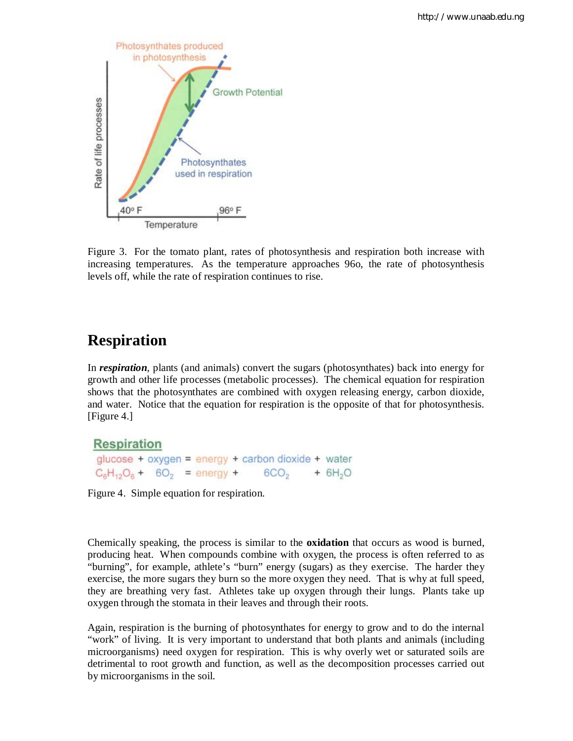

Figure 3. For the tomato plant, rates of photosynthesis and respiration both increase with increasing temperatures. As the temperature approaches 96o, the rate of photosynthesis levels off, while the rate of respiration continues to rise.

# **Respiration**

In *respiration*, plants (and animals) convert the sugars (photosynthates) back into energy for growth and other life processes (metabolic processes). The chemical equation for respiration shows that the photosynthates are combined with oxygen releasing energy, carbon dioxide, and water. Notice that the equation for respiration is the opposite of that for photosynthesis. [Figure 4.]

# **Respiration**

```
glucose + oxygen = energy + carbon dioxide + water
C_6H_{12}O_6 + 6O_2 = energy + 6CO<sub>2</sub> + 6H<sub>2</sub>O
```
Figure 4. Simple equation for respiration.

Chemically speaking, the process is similar to the **oxidation** that occurs as wood is burned, producing heat. When compounds combine with oxygen, the process is often referred to as "burning", for example, athlete's "burn" energy (sugars) as they exercise. The harder they exercise, the more sugars they burn so the more oxygen they need. That is why at full speed, they are breathing very fast. Athletes take up oxygen through their lungs. Plants take up oxygen through the stomata in their leaves and through their roots.

Again, respiration is the burning of photosynthates for energy to grow and to do the internal "work" of living. It is very important to understand that both plants and animals (including microorganisms) need oxygen for respiration. This is why overly wet or saturated soils are detrimental to root growth and function, as well as the decomposition processes carried out by microorganisms in the soil.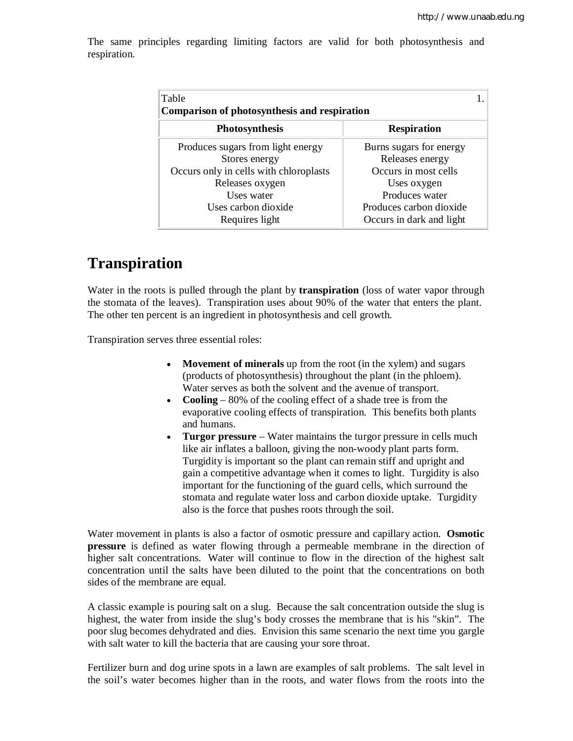The same principles regarding limiting factors are valid for both photosynthesis and respiration.

| Table<br><b>Comparison of photosynthesis and respiration</b> |                          |  |  |  |
|--------------------------------------------------------------|--------------------------|--|--|--|
| <b>Photosynthesis</b>                                        | <b>Respiration</b>       |  |  |  |
| Produces sugars from light energy                            | Burns sugars for energy  |  |  |  |
| Stores energy                                                | Releases energy          |  |  |  |
| Occurs only in cells with chloroplasts                       | Occurs in most cells     |  |  |  |
| Releases oxygen                                              | Uses oxygen              |  |  |  |
| Uses water                                                   | Produces water           |  |  |  |
| Uses carbon dioxide                                          | Produces carbon dioxide  |  |  |  |
| Requires light                                               | Occurs in dark and light |  |  |  |

# **Transpiration**

Water in the roots is pulled through the plant by **transpiration** (loss of water vapor through the stomata of the leaves). Transpiration uses about 90% of the water that enters the plant. The other ten percent is an ingredient in photosynthesis and cell growth.

Transpiration serves three essential roles:

- **Movement of minerals** up from the root (in the xylem) and sugars (products of photosynthesis) throughout the plant (in the phloem). Water serves as both the solvent and the avenue of transport.
- **Cooling**  80% of the cooling effect of a shade tree is from the evaporative cooling effects of transpiration. This benefits both plants and humans.
- **Turgor pressure** Water maintains the turgor pressure in cells much like air inflates a balloon, giving the non-woody plant parts form. Turgidity is important so the plant can remain stiff and upright and gain a competitive advantage when it comes to light. Turgidity is also important for the functioning of the guard cells, which surround the stomata and regulate water loss and carbon dioxide uptake. Turgidity also is the force that pushes roots through the soil.

Water movement in plants is also a factor of osmotic pressure and capillary action. **Osmotic pressure** is defined as water flowing through a permeable membrane in the direction of higher salt concentrations. Water will continue to flow in the direction of the highest salt concentration until the salts have been diluted to the point that the concentrations on both sides of the membrane are equal.

A classic example is pouring salt on a slug. Because the salt concentration outside the slug is highest, the water from inside the slug's body crosses the membrane that is his "skin". The poor slug becomes dehydrated and dies. Envision this same scenario the next time you gargle with salt water to kill the bacteria that are causing your sore throat.

Fertilizer burn and dog urine spots in a lawn are examples of salt problems. The salt level in the soil's water becomes higher than in the roots, and water flows from the roots into the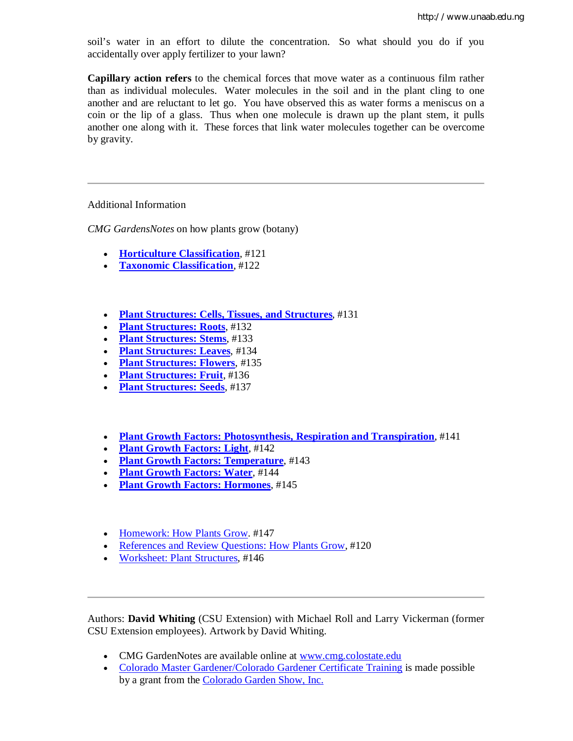soil's water in an effort to dilute the concentration. So what should you do if you accidentally over apply fertilizer to your lawn?

**Capillary action refers** to the chemical forces that move water as a continuous film rather than as individual molecules. Water molecules in the soil and in the plant cling to one another and are reluctant to let go. You have observed this as water forms a meniscus on a coin or the lip of a glass. Thus when one molecule is drawn up the plant stem, it pulls another one along with it. These forces that link water molecules together can be overcome by gravity.

#### Additional Information

*CMG GardensNotes* on how plants grow (botany)

- **Horticulture Classification**, #121
- **Taxonomic Classification**, #122
- **Plant Structures: Cells, Tissues, and Structures**, #131
- **Plant Structures: Roots**, #132
- **Plant Structures: Stems**, #133
- **Plant Structures: Leaves**, #134
- **Plant Structures: Flowers**, #135
- **Plant Structures: Fruit**, #136
- **Plant Structures: Seeds**, #137
- **Plant Growth Factors: Photosynthesis, Respiration and Transpiration**, #141
- **Plant Growth Factors: Light, #142**
- **Plant Growth Factors: Temperature**, #143
- **Plant Growth Factors: Water**, #144
- **Plant Growth Factors: Hormones**, #145
- Homework: How Plants Grow. #147
- References and Review Questions: How Plants Grow, #120
- Worksheet: Plant Structures, #146

Authors: **David Whiting** (CSU Extension) with Michael Roll and Larry Vickerman (former CSU Extension employees). Artwork by David Whiting.

- CMG GardenNotes are available online at www.cmg.colostate.edu
- Colorado Master Gardener/Colorado Gardener Certificate Training is made possible by a grant from the Colorado Garden Show, Inc.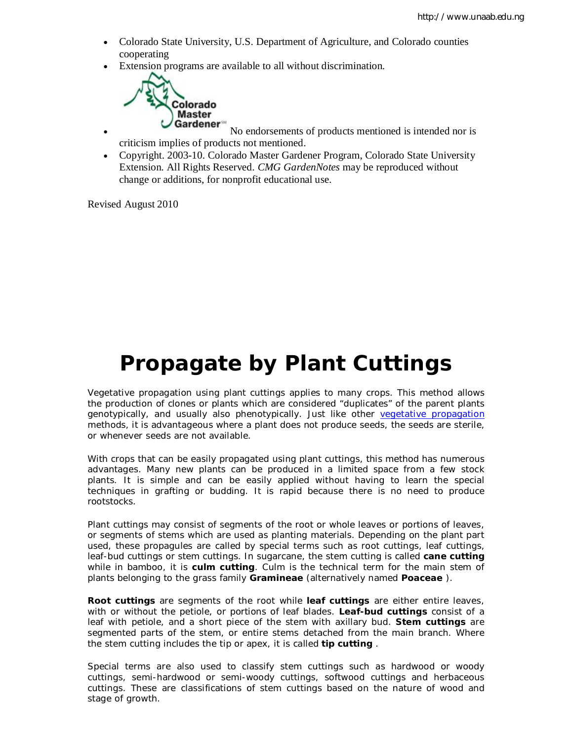- Colorado State University, U.S. Department of Agriculture, and Colorado counties cooperating
- Extension programs are available to all without discrimination.



• Cardener<sup>on</sup> No endorsements of products mentioned is intended nor is criticism implies of products not mentioned.

 Copyright. 2003-10. Colorado Master Gardener Program, Colorado State University Extension. All Rights Reserved. *CMG GardenNotes* may be reproduced without change or additions, for nonprofit educational use.

Revised August 2010

# **Propagate by Plant Cuttings**

Vegetative propagation using plant cuttings applies to many crops. This method allows the production of clones or plants which are considered "duplicates" of the parent plants genotypically, and usually also phenotypically. Just like other vegetative propagation methods, it is advantageous where a plant does not produce seeds, the seeds are sterile, or whenever seeds are not available.

With crops that can be easily propagated using plant cuttings, this method has numerous advantages. Many new plants can be produced in a limited space from a few stock plants. It is simple and can be easily applied without having to learn the special techniques in grafting or budding. It is rapid because there is no need to produce rootstocks.

Plant cuttings may consist of segments of the root or whole leaves or portions of leaves, or segments of stems which are used as planting materials. Depending on the plant part used, these propagules are called by special terms such as root cuttings, leaf cuttings, leaf-bud cuttings or stem cuttings. In sugarcane, the stem cutting is called **cane cutting** while in bamboo, it is **culm cutting**. Culm is the technical term for the main stem of plants belonging to the grass family **Gramineae** (alternatively named **Poaceae** ).

**Root cuttings** are segments of the root while **leaf cuttings** are either entire leaves, with or without the petiole, or portions of leaf blades. **Leaf-bud cuttings** consist of a leaf with petiole, and a short piece of the stem with axillary bud. **Stem cuttings** are segmented parts of the stem, or entire stems detached from the main branch. Where the stem cutting includes the tip or apex, it is called **tip cutting** .

Special terms are also used to classify stem cuttings such as hardwood or woody cuttings, semi-hardwood or semi-woody cuttings, softwood cuttings and herbaceous cuttings. These are classifications of stem cuttings based on the nature of wood and stage of growth.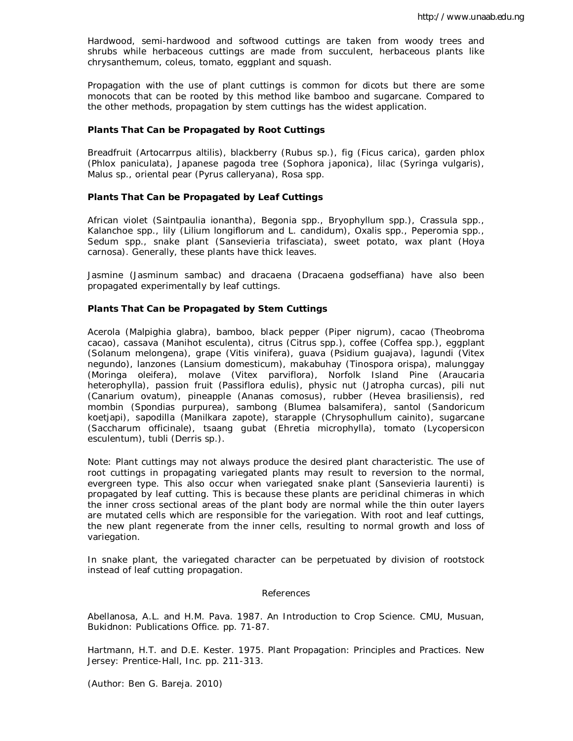Hardwood, semi-hardwood and softwood cuttings are taken from woody trees and shrubs while herbaceous cuttings are made from succulent, herbaceous plants like chrysanthemum, coleus, tomato, eggplant and squash.

Propagation with the use of plant cuttings is common for dicots but there are some monocots that can be rooted by this method like bamboo and sugarcane. Compared to the other methods, propagation by stem cuttings has the widest application.

#### **Plants That Can be Propagated by Root Cuttings**

Breadfruit (*Artocarrpus altilis*), blackberry (*Rubus* sp.), fig (*Ficus carica*), garden phlox (*Phlox paniculata*), Japanese pagoda tree (*Sophora japonica*), lilac (*Syringa vulgaris*), *Malus* sp., oriental pear (*Pyrus calleryana*), *Rosa* spp.

#### **Plants That Can be Propagated by Leaf Cuttings**

African violet (*Saintpaulia ionantha*), *Begonia* spp., *Bryophyllum* spp.), *Crassula* spp., *Kalanchoe* spp., lily (*Lilium longiflorum* and *L. candidum*), *Oxalis* spp., *Peperomia* spp., *Sedum* spp., snake plant (*Sansevieria trifasciata*), sweet potato, wax plant (*Hoya carnosa*). Generally, these plants have thick leaves.

Jasmine (*Jasminum sambac*) and dracaena (*Dracaena godseffiana*) have also been propagated experimentally by leaf cuttings.

#### **Plants That Can be Propagated by Stem Cuttings**

Acerola (*Malpighia glabra*), bamboo, black pepper (*Piper nigrum*), cacao (*Theobroma cacao*), cassava (*Manihot esculenta*), citrus (*Citrus* spp.), coffee (*Coffea* spp.), eggplant (*Solanum melongena*), grape (*Vitis vinifera*), guava (*Psidium guajava*), lagundi (*Vitex negundo*), lanzones (*Lansium domesticum*), makabuhay (*Tinospora orispa*), malunggay (*Moringa oleifera*), molave (*Vitex parviflora*), Norfolk Island Pine (*Araucaria heterophylla*), passion fruit (*Passiflora edulis*), physic nut (*Jatropha curcas*), pili nut (*Canarium ovatum*), pineapple (*Ananas comosus*), rubber (*Hevea brasiliensis*), red mombin (*Spondias purpurea*), sambong (*Blumea balsamifera*), santol (*Sandoricum koetjapi*), sapodilla (*Manilkara zapote*), starapple (*Chrysophullum cainito*), sugarcane (*Saccharum officinale*), tsaang gubat (*Ehretia microphylla*), tomato (*Lycopersicon esculentum*), tubli (*Derris sp.*).

Note: Plant cuttings may not always produce the desired plant characteristic. The use of root cuttings in propagating variegated plants may result to reversion to the normal, evergreen type. This also occur when variegated snake plant (Sansevieria laurenti) is propagated by leaf cutting. This is because these plants are periclinal chimeras in which the inner cross sectional areas of the plant body are normal while the thin outer layers are mutated cells which are responsible for the variegation. With root and leaf cuttings, the new plant regenerate from the inner cells, resulting to normal growth and loss of variegation.

In snake plant, the variegated character can be perpetuated by division of rootstock instead of leaf cutting propagation.

#### References

Abellanosa, A.L. and H.M. Pava. 1987. An Introduction to Crop Science. CMU, Musuan, Bukidnon: Publications Office. pp. 71-87.

Hartmann, H.T. and D.E. Kester. 1975. Plant Propagation: Principles and Practices. New Jersey: Prentice-Hall, Inc. pp. 211-313.

(Author: Ben G. Bareja. 2010)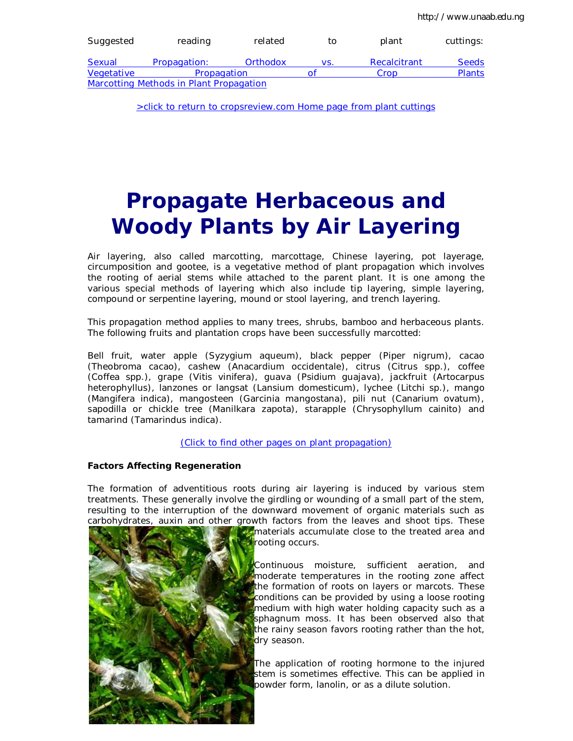| Suggested                                      | reading      | related  | to  | plant        | cuttings:     |  |  |
|------------------------------------------------|--------------|----------|-----|--------------|---------------|--|--|
| Sexual                                         | Propagation: | Orthodox | VS. | Recalcitrant | <b>Seeds</b>  |  |  |
| Vegetative                                     | Propagation  |          | Οt  | Crop         | <b>Plants</b> |  |  |
| <b>Marcotting Methods in Plant Propagation</b> |              |          |     |              |               |  |  |

>click to return to cropsreview.com Home page from plant cuttings

# **Propagate Herbaceous and Woody Plants by Air Layering**

Air layering, also called marcotting, marcottage, Chinese layering, pot layerage, circumposition and gootee, is a vegetative method of plant propagation which involves the rooting of aerial stems while attached to the parent plant. It is one among the various special methods of layering which also include tip layering, simple layering, compound or serpentine layering, mound or stool layering, and trench layering.

This propagation method applies to many trees, shrubs, bamboo and herbaceous plants. The following fruits and plantation crops have been successfully marcotted:

Bell fruit, water apple (*Syzygium aqueum*), black pepper (*Piper nigrum*), cacao (*Theobroma cacao*), cashew (*Anacardium occidentale*), citrus (*Citrus* spp.), coffee (*Coffea* spp.), grape (*Vitis vinifera*), guava (*Psidium guajava*), jackfruit (*Artocarpus heterophyllus*), lanzones or langsat (*Lansium domesticum*), lychee (*Litchi* sp.), mango (*Mangifera indica*), mangosteen (*Garcinia mangostana*), pili nut (*Canarium ovatum*), sapodilla or chickle tree (*Manilkara zapota*), starapple (*Chrysophyllum cainito*) and tamarind (*Tamarindus indica*).

(Click to find other pages on plant propagation)

#### **Factors Affecting Regeneration**

The formation of adventitious roots during air layering is induced by various stem treatments. These generally involve the girdling or wounding of a small part of the stem, resulting to the interruption of the downward movement of organic materials such as carbohydrates, auxin and other growth factors from the leaves and shoot tips. These



materials accumulate close to the treated area and rooting occurs.

Continuous moisture, sufficient aeration, and moderate temperatures in the rooting zone affect the formation of roots on layers or marcots. These conditions can be provided by using a loose rooting medium with high water holding capacity such as a sphagnum moss. It has been observed also that the rainy season favors rooting rather than the hot, dry season.

The application of rooting hormone to the injured stem is sometimes effective. This can be applied in powder form, lanolin, or as a dilute solution.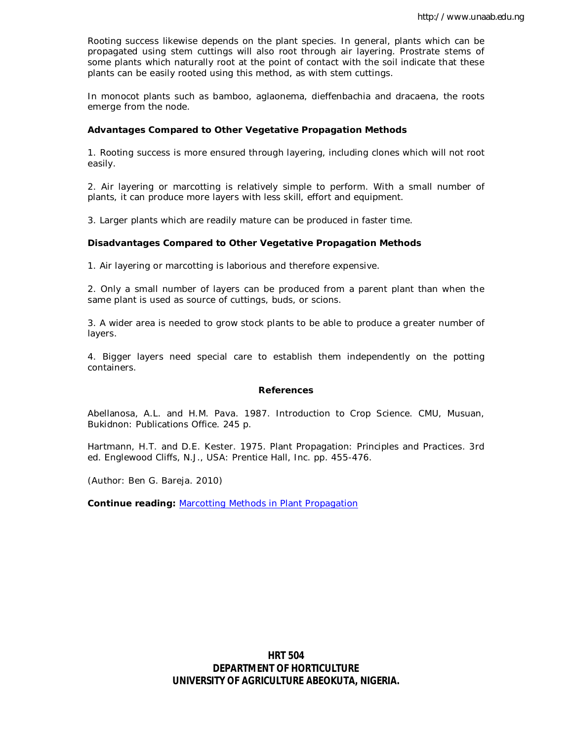Rooting success likewise depends on the plant species. In general, plants which can be propagated using stem cuttings will also root through air layering. Prostrate stems of some plants which naturally root at the point of contact with the soil indicate that these plants can be easily rooted using this method, as with stem cuttings.

In monocot plants such as bamboo, aglaonema, dieffenbachia and dracaena, the roots emerge from the node.

#### **Advantages Compared to Other Vegetative Propagation Methods**

1. Rooting success is more ensured through layering, including clones which will not root easily.

2. Air layering or marcotting is relatively simple to perform. With a small number of plants, it can produce more layers with less skill, effort and equipment.

3. Larger plants which are readily mature can be produced in faster time.

#### **Disadvantages Compared to Other Vegetative Propagation Methods**

1. Air layering or marcotting is laborious and therefore expensive.

2. Only a small number of layers can be produced from a parent plant than when the same plant is used as source of cuttings, buds, or scions.

3. A wider area is needed to grow stock plants to be able to produce a greater number of layers.

4. Bigger layers need special care to establish them independently on the potting containers.

#### **References**

Abellanosa, A.L. and H.M. Pava. 1987. Introduction to Crop Science. CMU, Musuan, Bukidnon: Publications Office. 245 p.

Hartmann, H.T. and D.E. Kester. 1975. Plant Propagation: Principles and Practices. 3rd ed. Englewood Cliffs, N.J., USA: Prentice Hall, Inc. pp. 455-476.

(Author: Ben G. Bareja. 2010)

**Continue reading:** Marcotting Methods in Plant Propagation

**HRT 504 DEPARTMENT OF HORTICULTURE UNIVERSITY OF AGRICULTURE ABEOKUTA, NIGERIA.**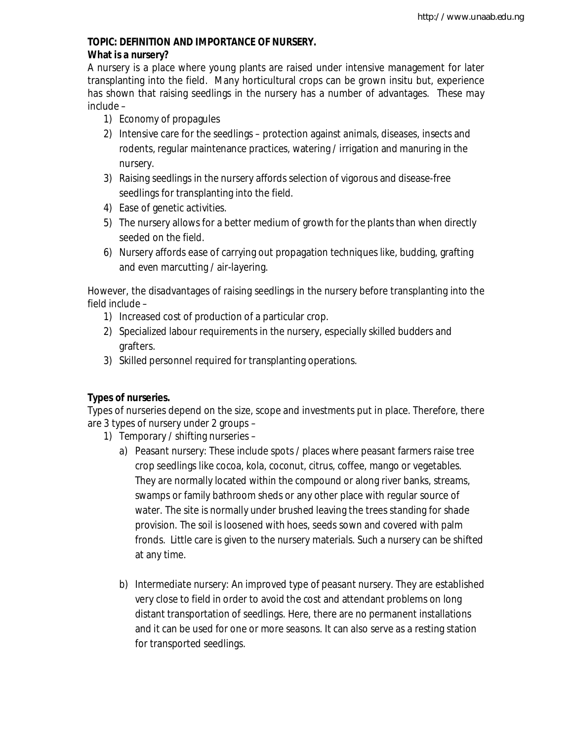## **TOPIC: DEFINITION AND IMPORTANCE OF NURSERY. What is a nursery?**

A nursery is a place where young plants are raised under intensive management for later transplanting into the field. Many horticultural crops can be grown insitu but, experience has shown that raising seedlings in the nursery has a number of advantages. These may include –

- 1) Economy of propagules
- 2) Intensive care for the seedlings protection against animals, diseases, insects and rodents, regular maintenance practices, watering / irrigation and manuring in the nursery.
- 3) Raising seedlings in the nursery affords selection of vigorous and disease-free seedlings for transplanting into the field.
- 4) Ease of genetic activities.
- 5) The nursery allows for a better medium of growth for the plants than when directly seeded on the field.
- 6) Nursery affords ease of carrying out propagation techniques like, budding, grafting and even marcutting / air-layering.

However, the disadvantages of raising seedlings in the nursery before transplanting into the field include –

- 1) Increased cost of production of a particular crop.
- 2) Specialized labour requirements in the nursery, especially skilled budders and grafters.
- 3) Skilled personnel required for transplanting operations.

## **Types of nurseries.**

Types of nurseries depend on the size, scope and investments put in place. Therefore, there are 3 types of nursery under 2 groups –

- 1) Temporary / shifting nurseries
	- a) Peasant nursery: These include spots / places where peasant farmers raise tree crop seedlings like cocoa, kola, coconut, citrus, coffee, mango or vegetables. They are normally located within the compound or along river banks, streams, swamps or family bathroom sheds or any other place with regular source of water. The site is normally under brushed leaving the trees standing for shade provision. The soil is loosened with hoes, seeds sown and covered with palm fronds. Little care is given to the nursery materials. Such a nursery can be shifted at any time.
	- b) Intermediate nursery: An improved type of peasant nursery. They are established very close to field in order to avoid the cost and attendant problems on long distant transportation of seedlings. Here, there are no permanent installations and it can be used for one or more seasons. It can also serve as a resting station for transported seedlings.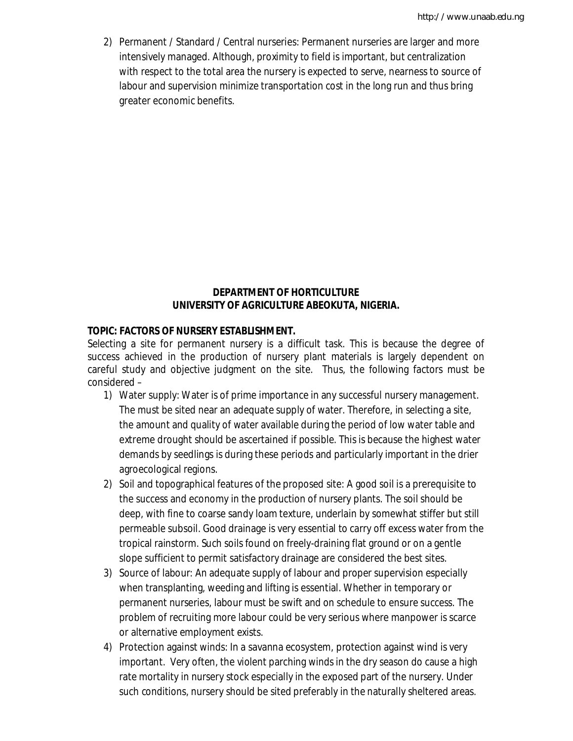2) Permanent / Standard / Central nurseries: Permanent nurseries are larger and more intensively managed. Although, proximity to field is important, but centralization with respect to the total area the nursery is expected to serve, nearness to source of labour and supervision minimize transportation cost in the long run and thus bring greater economic benefits.

### **DEPARTMENT OF HORTICULTURE UNIVERSITY OF AGRICULTURE ABEOKUTA, NIGERIA.**

### **TOPIC: FACTORS OF NURSERY ESTABLISHMENT.**

Selecting a site for permanent nursery is a difficult task. This is because the degree of success achieved in the production of nursery plant materials is largely dependent on careful study and objective judgment on the site. Thus, the following factors must be considered –

- 1) Water supply: Water is of prime importance in any successful nursery management. The must be sited near an adequate supply of water. Therefore, in selecting a site, the amount and quality of water available during the period of low water table and extreme drought should be ascertained if possible. This is because the highest water demands by seedlings is during these periods and particularly important in the drier agroecological regions.
- 2) Soil and topographical features of the proposed site: A good soil is a prerequisite to the success and economy in the production of nursery plants. The soil should be deep, with fine to coarse sandy loam texture, underlain by somewhat stiffer but still permeable subsoil. Good drainage is very essential to carry off excess water from the tropical rainstorm. Such soils found on freely-draining flat ground or on a gentle slope sufficient to permit satisfactory drainage are considered the best sites.
- 3) Source of labour: An adequate supply of labour and proper supervision especially when transplanting, weeding and lifting is essential. Whether in temporary or permanent nurseries, labour must be swift and on schedule to ensure success. The problem of recruiting more labour could be very serious where manpower is scarce or alternative employment exists.
- 4) Protection against winds: In a savanna ecosystem, protection against wind is very important. Very often, the violent parching winds in the dry season do cause a high rate mortality in nursery stock especially in the exposed part of the nursery. Under such conditions, nursery should be sited preferably in the naturally sheltered areas.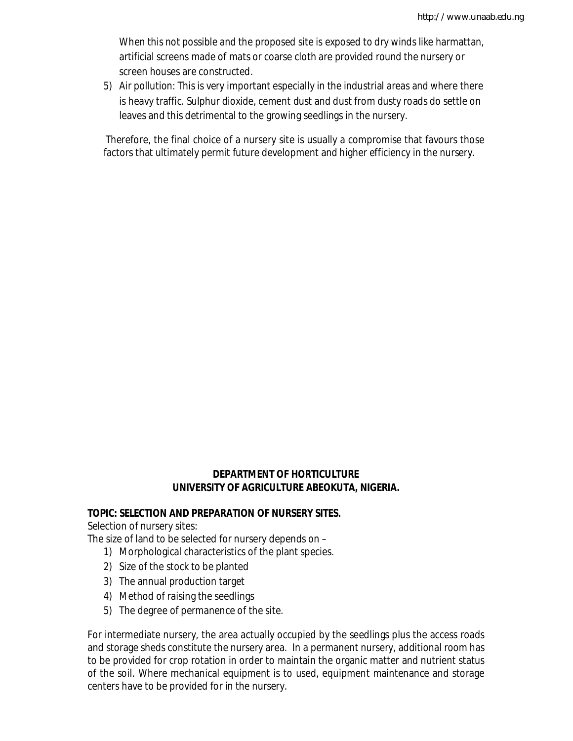When this not possible and the proposed site is exposed to dry winds like harmattan, artificial screens made of mats or coarse cloth are provided round the nursery or screen houses are constructed.

5) Air pollution: This is very important especially in the industrial areas and where there is heavy traffic. Sulphur dioxide, cement dust and dust from dusty roads do settle on leaves and this detrimental to the growing seedlings in the nursery.

Therefore, the final choice of a nursery site is usually a compromise that favours those factors that ultimately permit future development and higher efficiency in the nursery.

### **DEPARTMENT OF HORTICULTURE UNIVERSITY OF AGRICULTURE ABEOKUTA, NIGERIA.**

### **TOPIC: SELECTION AND PREPARATION OF NURSERY SITES.**

Selection of nursery sites:

The size of land to be selected for nursery depends on –

- 1) Morphological characteristics of the plant species.
- 2) Size of the stock to be planted
- 3) The annual production target
- 4) Method of raising the seedlings
- 5) The degree of permanence of the site.

For intermediate nursery, the area actually occupied by the seedlings plus the access roads and storage sheds constitute the nursery area. In a permanent nursery, additional room has to be provided for crop rotation in order to maintain the organic matter and nutrient status of the soil. Where mechanical equipment is to used, equipment maintenance and storage centers have to be provided for in the nursery.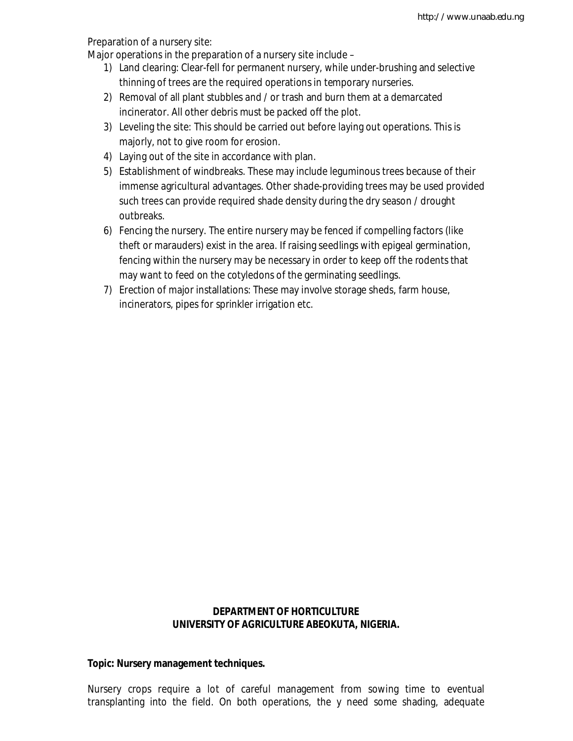Preparation of a nursery site:

Major operations in the preparation of a nursery site include –

- 1) Land clearing: Clear-fell for permanent nursery, while under-brushing and selective thinning of trees are the required operations in temporary nurseries.
- 2) Removal of all plant stubbles and / or trash and burn them at a demarcated incinerator. All other debris must be packed off the plot.
- 3) Leveling the site: This should be carried out before laying out operations. This is majorly, not to give room for erosion.
- 4) Laying out of the site in accordance with plan.
- 5) Establishment of windbreaks. These may include leguminous trees because of their immense agricultural advantages. Other shade-providing trees may be used provided such trees can provide required shade density during the dry season / drought outbreaks.
- 6) Fencing the nursery. The entire nursery may be fenced if compelling factors (like theft or marauders) exist in the area. If raising seedlings with epigeal germination, fencing within the nursery may be necessary in order to keep off the rodents that may want to feed on the cotyledons of the germinating seedlings.
- 7) Erection of major installations: These may involve storage sheds, farm house, incinerators, pipes for sprinkler irrigation etc.

### **DEPARTMENT OF HORTICULTURE UNIVERSITY OF AGRICULTURE ABEOKUTA, NIGERIA.**

### **Topic: Nursery management techniques.**

Nursery crops require a lot of careful management from sowing time to eventual transplanting into the field. On both operations, the y need some shading, adequate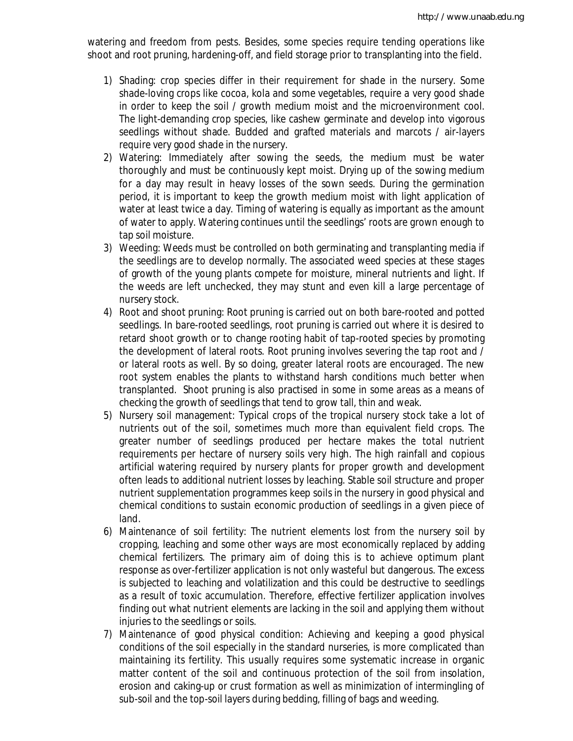watering and freedom from pests. Besides, some species require tending operations like shoot and root pruning, hardening-off, and field storage prior to transplanting into the field.

- 1) Shading: crop species differ in their requirement for shade in the nursery. Some shade-loving crops like cocoa, kola and some vegetables, require a very good shade in order to keep the soil / growth medium moist and the microenvironment cool. The light-demanding crop species, like cashew germinate and develop into vigorous seedlings without shade. Budded and grafted materials and marcots / air-layers require very good shade in the nursery.
- 2) Watering: Immediately after sowing the seeds, the medium must be water thoroughly and must be continuously kept moist. Drying up of the sowing medium for a day may result in heavy losses of the sown seeds. During the germination period, it is important to keep the growth medium moist with light application of water at least twice a day. Timing of watering is equally as important as the amount of water to apply. Watering continues until the seedlings' roots are grown enough to tap soil moisture.
- 3) Weeding: Weeds must be controlled on both germinating and transplanting media if the seedlings are to develop normally. The associated weed species at these stages of growth of the young plants compete for moisture, mineral nutrients and light. If the weeds are left unchecked, they may stunt and even kill a large percentage of nursery stock.
- 4) Root and shoot pruning: Root pruning is carried out on both bare-rooted and potted seedlings. In bare-rooted seedlings, root pruning is carried out where it is desired to retard shoot growth or to change rooting habit of tap-rooted species by promoting the development of lateral roots. Root pruning involves severing the tap root and / or lateral roots as well. By so doing, greater lateral roots are encouraged. The new root system enables the plants to withstand harsh conditions much better when transplanted. Shoot pruning is also practised in some in some areas as a means of checking the growth of seedlings that tend to grow tall, thin and weak.
- 5) Nursery soil management: Typical crops of the tropical nursery stock take a lot of nutrients out of the soil, sometimes much more than equivalent field crops. The greater number of seedlings produced per hectare makes the total nutrient requirements per hectare of nursery soils very high. The high rainfall and copious artificial watering required by nursery plants for proper growth and development often leads to additional nutrient losses by leaching. Stable soil structure and proper nutrient supplementation programmes keep soils in the nursery in good physical and chemical conditions to sustain economic production of seedlings in a given piece of land.
- 6) Maintenance of soil fertility: The nutrient elements lost from the nursery soil by cropping, leaching and some other ways are most economically replaced by adding chemical fertilizers. The primary aim of doing this is to achieve optimum plant response as over-fertilizer application is not only wasteful but dangerous. The excess is subjected to leaching and volatilization and this could be destructive to seedlings as a result of toxic accumulation. Therefore, effective fertilizer application involves finding out what nutrient elements are lacking in the soil and applying them without injuries to the seedlings or soils.
- 7) Maintenance of good physical condition: Achieving and keeping a good physical conditions of the soil especially in the standard nurseries, is more complicated than maintaining its fertility. This usually requires some systematic increase in organic matter content of the soil and continuous protection of the soil from insolation, erosion and caking-up or crust formation as well as minimization of intermingling of sub-soil and the top-soil layers during bedding, filling of bags and weeding.